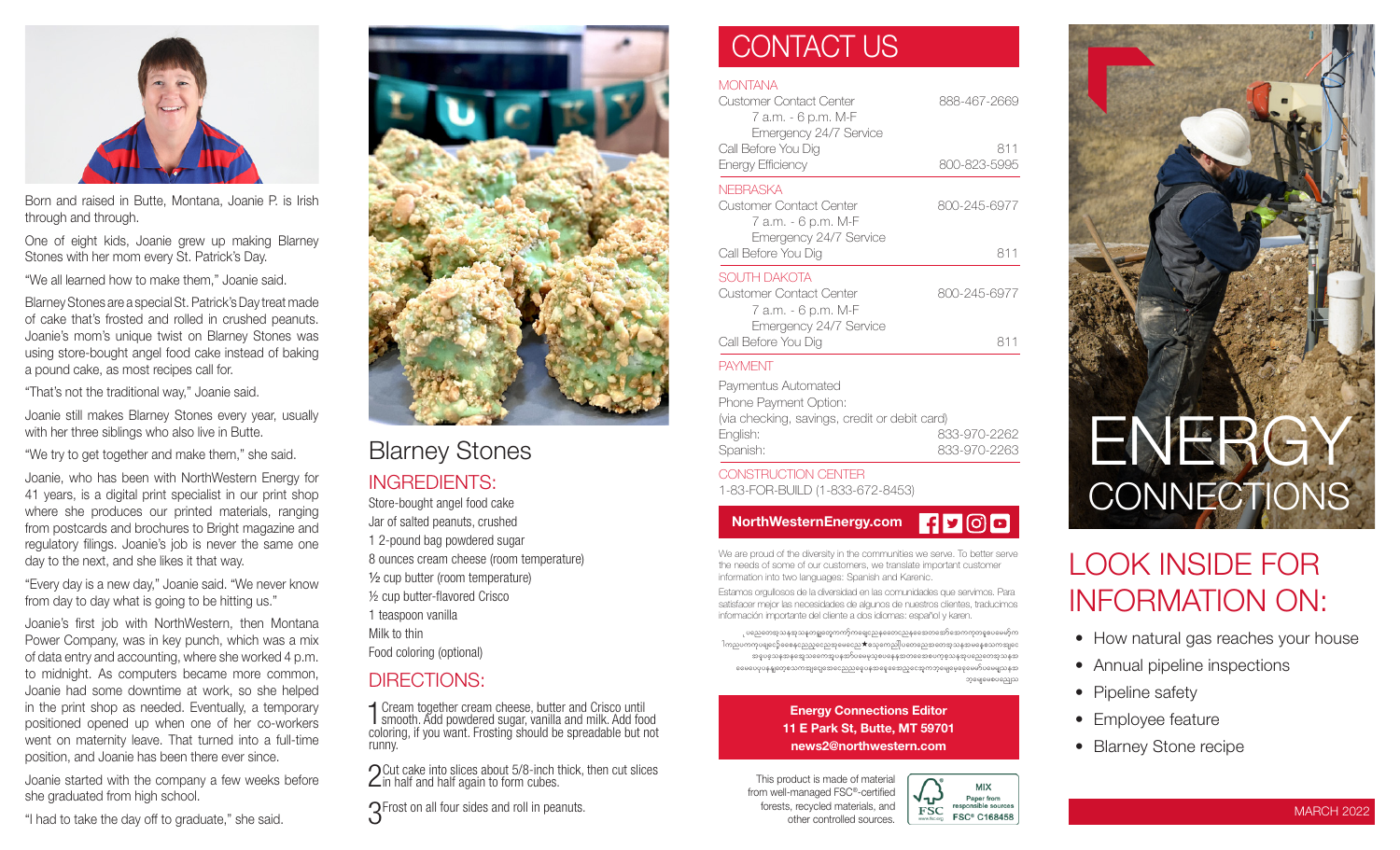

Born and raised in Butte, Montana, Joanie P. is Irish through and through.

One of eight kids, Joanie grew up making Blarney Stones with her mom every St. Patrick's Day.

"We all learned how to make them," Joanie said.

Blarney Stones are a special St. Patrick's Day treat made of cake that's frosted and rolled in crushed peanuts. Joanie's mom's unique twist on Blarney Stones was using store-bought angel food cake instead of baking a pound cake, as most recipes call for.

"That's not the traditional way," Joanie said.

Joanie still makes Blarney Stones every year, usually with her three siblings who also live in Butte.

"We try to get together and make them," she said.

Joanie, who has been with NorthWestern Energy for 41 years, is a digital print specialist in our print shop where she produces our printed materials, ranging from postcards and brochures to Bright magazine and regulatory filings. Joanie's job is never the same one day to the next, and she likes it that way.

"Every day is a new day," Joanie said. "We never know from day to day what is going to be hitting us."

Joanie's first job with NorthWestern, then Montana Power Company, was in key punch, which was a mix of data entry and accounting, where she worked 4 p.m. to midnight. As computers became more common, Joanie had some downtime at work, so she helped in the print shop as needed. Eventually, a temporary positioned opened up when one of her co-workers went on maternity leave. That turned into a full-time position, and Joanie has been there ever since.

Joanie started with the company a few weeks before she graduated from high school.

"I had to take the day off to graduate," she said.



## Blarney Stones

### INGREDIENTS:

Store-bought angel food cake Jar of salted peanuts, crushed 1 2-pound bag powdered sugar 8 ounces cream cheese (room temperature) ½ cup butter (room temperature) ½ cup butter-flavored Crisco 1 teaspoon vanilla Milk to thin Food coloring (optional)

### DIRECTIONS:

1 Cream together cream cheese, butter and Crisco until smooth. Add powdered sugar, vanilla and milk. Add food coloring, if you want. Frosting should be spreadable but not runny.

 $\bigcap$  Cut cake into slices about 5/8-inch thick, then cut slices  $\angle$ in half and half again to form cubes.

**OF**rost on all four sides and roll in peanuts.

## **CONTACT US**

### **MONTANA**

| Customer Contact Center<br>7 a.m. - 6 p.m. M-F                                              | 888-467-2669        |
|---------------------------------------------------------------------------------------------|---------------------|
| Emergency 24/7 Service<br>Call Before You Dig<br>Energy Efficiency                          | 811<br>800-823-5995 |
| <b>NFBRASKA</b><br>Customer Contact Center<br>7 а.т. - 6 p.m. М-F<br>Emergency 24/7 Service | 800-245-6977        |
| Call Before You Dig                                                                         | 811                 |
| SOUTH DAKOTA<br>Customer Contact Center<br>7 a.m. - 6 p.m. M-F                              | 800-245-6977        |
| Emergency 24/7 Service<br>Call Before You Dig                                               | 81                  |
| <b>PAYMENT</b>                                                                              |                     |

### Paymentus Automated Phone Payment Option: (via checking, savings, credit or debit card) English: 833-970-2262 Spanish: 833-970-2263

### CONSTRUCTION CENTER

1-83-FOR-BUILD (1-833-672-8453)

#### $H$ y $\odot$ o NorthWesternEnergy.com

We are proud of the diversity in the communities we serve. To better serve the needs of some of our customers, we translate important customer information into two languages: Spanish and Karenic.

Estamos orgullosos de la diversidad en las comunidades que servimos. Para satisfacer mejor las necesidades de algunos de nuestros clientes, traducimos información importante del cliente a dos idiomas: español y karen.

ုပညေတေအ့သနအုသနတရူတှေကကာ့်ကရေငညနထောငညနထေောတအော်အေကကုတဓူစပမေမာ့်က ါကညပကကုပၛငော့်ခစေနငညည့လောအုမေငေည ★စသုကေညါါ့ပတေညေအတေအုသနအမနေစသကအျငေ အဓူပခဲ့သနအနအေူသရေကအူပနအာ်ပမေမုသ့စပနေနအတရေအစပက္စစ္နသနအုပညေတေအူသနအ aaမပေပုပနနျတေ့စသကအျငျေအေငေညညငွေပနအနေ့ခေအညှငေအုကဘ့မျေမှေခုမေမာ်ပမေမျှသနအ bharsarpyanso

### Energy Connections Editor 11 E Park St, Butte, MT 59701 news2@northwestern.com

**MIX** 

Paper from responsible sources

**FSC® C168458** 

יירי

**FSC** 

This product is made of material from well-managed FSC®-certified forests, recycled materials, and other controlled sources.



## LOOK INSIDE FOR INFORMATION ON:

- How natural gas reaches your house
- Annual pipeline inspections
- Pipeline safety
- Employee feature
- Blarney Stone recipe